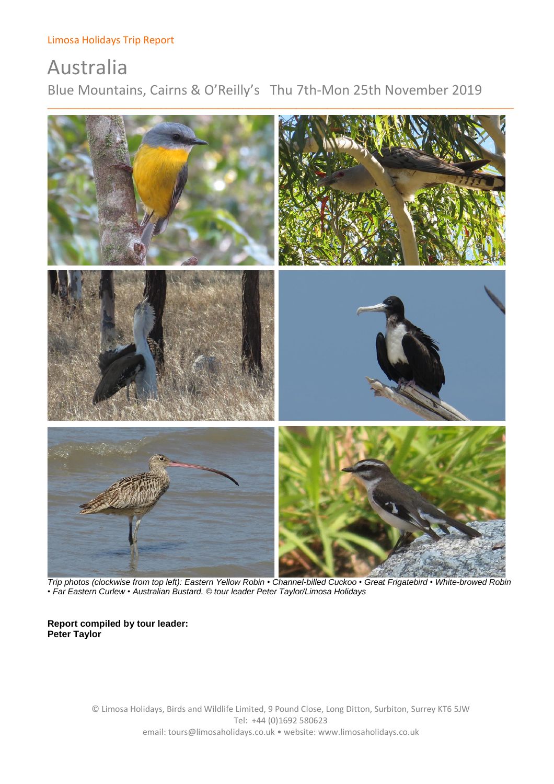# Australia Blue Mountains, Cairns & O'Reilly's Thu 7th-Mon 25th November 2019



 *Trip photos (clockwise from top left): Eastern Yellow Robin • Channel-billed Cuckoo • Great Frigatebird • White-browed Robin • Far Eastern Curlew • Australian Bustard. © tour leader Peter Taylor/Limosa Holidays*

# **Report compiled by tour leader: Peter Taylor**

© Limosa Holidays, Birds and Wildlife Limited, 9 Pound Close, Long Ditton, Surbiton, Surrey KT6 5JW Tel: +44 (0)1692 580623 email: tours@limosaholidays.co.uk • website: www.limosaholidays.co.uk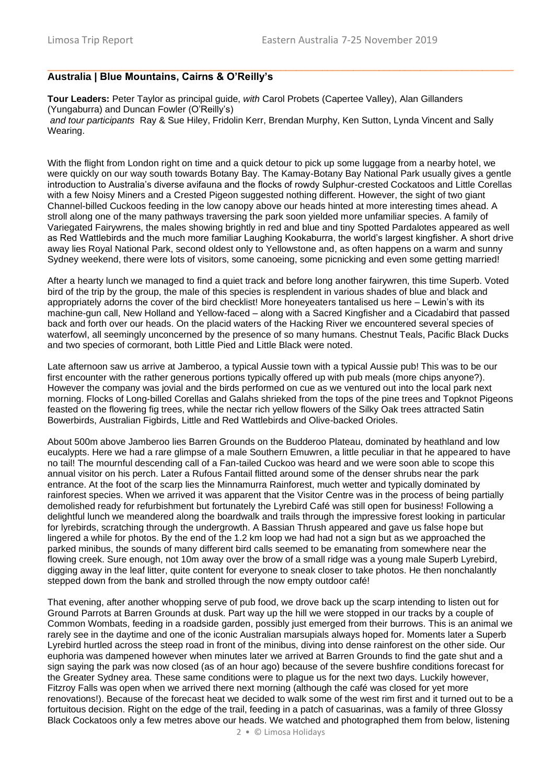# **Australia | Blue Mountains, Cairns & O'Reilly's**

**Tour Leaders:** Peter Taylor as principal guide, *with* Carol Probets (Capertee Valley), Alan Gillanders (Yungaburra) and Duncan Fowler (O'Reilly's) *and tour participants* Ray & Sue Hiley, Fridolin Kerr, Brendan Murphy, Ken Sutton, Lynda Vincent and Sally Wearing.

 $\Box$  , and the contribution of the contribution of the contribution of the contribution of the contribution of the contribution of the contribution of the contribution of the contribution of the contribution of the contri

With the flight from London right on time and a quick detour to pick up some luggage from a nearby hotel, we were quickly on our way south towards Botany Bay. The Kamay-Botany Bay National Park usually gives a gentle introduction to Australia's diverse avifauna and the flocks of rowdy Sulphur-crested Cockatoos and Little Corellas with a few Noisy Miners and a Crested Pigeon suggested nothing different. However, the sight of two giant Channel-billed Cuckoos feeding in the low canopy above our heads hinted at more interesting times ahead. A stroll along one of the many pathways traversing the park soon yielded more unfamiliar species. A family of Variegated Fairywrens, the males showing brightly in red and blue and tiny Spotted Pardalotes appeared as well as Red Wattlebirds and the much more familiar Laughing Kookaburra, the world's largest kingfisher. A short drive away lies Royal National Park, second oldest only to Yellowstone and, as often happens on a warm and sunny Sydney weekend, there were lots of visitors, some canoeing, some picnicking and even some getting married!

After a hearty lunch we managed to find a quiet track and before long another fairywren, this time Superb. Voted bird of the trip by the group, the male of this species is resplendent in various shades of blue and black and appropriately adorns the cover of the bird checklist! More honeyeaters tantalised us here – Lewin's with its machine-gun call, New Holland and Yellow-faced – along with a Sacred Kingfisher and a Cicadabird that passed back and forth over our heads. On the placid waters of the Hacking River we encountered several species of waterfowl, all seemingly unconcerned by the presence of so many humans. Chestnut Teals, Pacific Black Ducks and two species of cormorant, both Little Pied and Little Black were noted.

Late afternoon saw us arrive at Jamberoo, a typical Aussie town with a typical Aussie pub! This was to be our first encounter with the rather generous portions typically offered up with pub meals (more chips anyone?). However the company was jovial and the birds performed on cue as we ventured out into the local park next morning. Flocks of Long-billed Corellas and Galahs shrieked from the tops of the pine trees and Topknot Pigeons feasted on the flowering fig trees, while the nectar rich yellow flowers of the Silky Oak trees attracted Satin Bowerbirds, Australian Figbirds, Little and Red Wattlebirds and Olive-backed Orioles.

About 500m above Jamberoo lies Barren Grounds on the Budderoo Plateau, dominated by heathland and low eucalypts. Here we had a rare glimpse of a male Southern Emuwren, a little peculiar in that he appeared to have no tail! The mournful descending call of a Fan-tailed Cuckoo was heard and we were soon able to scope this annual visitor on his perch. Later a Rufous Fantail flitted around some of the denser shrubs near the park entrance. At the foot of the scarp lies the Minnamurra Rainforest, much wetter and typically dominated by rainforest species. When we arrived it was apparent that the Visitor Centre was in the process of being partially demolished ready for refurbishment but fortunately the Lyrebird Café was still open for business! Following a delightful lunch we meandered along the boardwalk and trails through the impressive forest looking in particular for lyrebirds, scratching through the undergrowth. A Bassian Thrush appeared and gave us false hope but lingered a while for photos. By the end of the 1.2 km loop we had had not a sign but as we approached the parked minibus, the sounds of many different bird calls seemed to be emanating from somewhere near the flowing creek. Sure enough, not 10m away over the brow of a small ridge was a young male Superb Lyrebird, digging away in the leaf litter, quite content for everyone to sneak closer to take photos. He then nonchalantly stepped down from the bank and strolled through the now empty outdoor café!

That evening, after another whopping serve of pub food, we drove back up the scarp intending to listen out for Ground Parrots at Barren Grounds at dusk. Part way up the hill we were stopped in our tracks by a couple of Common Wombats, feeding in a roadside garden, possibly just emerged from their burrows. This is an animal we rarely see in the daytime and one of the iconic Australian marsupials always hoped for. Moments later a Superb Lyrebird hurtled across the steep road in front of the minibus, diving into dense rainforest on the other side. Our euphoria was dampened however when minutes later we arrived at Barren Grounds to find the gate shut and a sign saying the park was now closed (as of an hour ago) because of the severe bushfire conditions forecast for the Greater Sydney area. These same conditions were to plague us for the next two days. Luckily however, Fitzroy Falls was open when we arrived there next morning (although the café was closed for yet more renovations!). Because of the forecast heat we decided to walk some of the west rim first and it turned out to be a fortuitous decision. Right on the edge of the trail, feeding in a patch of casuarinas, was a family of three Glossy Black Cockatoos only a few metres above our heads. We watched and photographed them from below, listening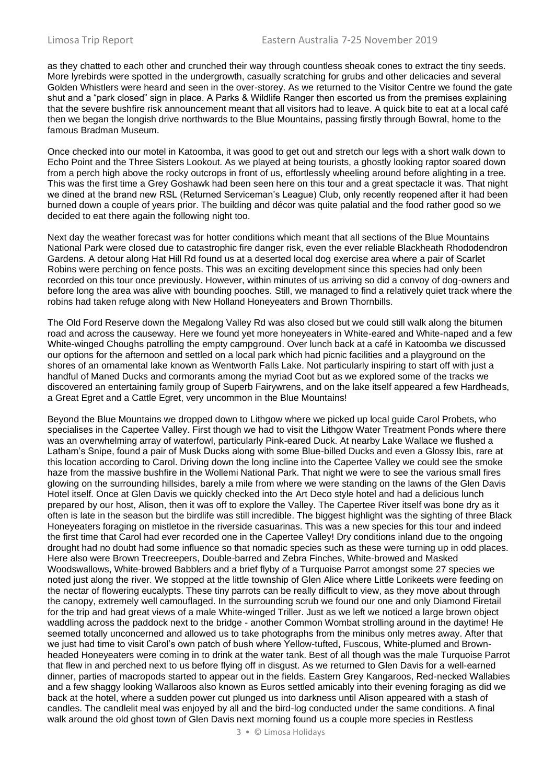as they chatted to each other and crunched their way through countless sheoak cones to extract the tiny seeds. More lyrebirds were spotted in the undergrowth, casually scratching for grubs and other delicacies and several Golden Whistlers were heard and seen in the over-storey. As we returned to the Visitor Centre we found the gate shut and a "park closed" sign in place. A Parks & Wildlife Ranger then escorted us from the premises explaining that the severe bushfire risk announcement meant that all visitors had to leave. A quick bite to eat at a local café then we began the longish drive northwards to the Blue Mountains, passing firstly through Bowral, home to the famous Bradman Museum.

Once checked into our motel in Katoomba, it was good to get out and stretch our legs with a short walk down to Echo Point and the Three Sisters Lookout. As we played at being tourists, a ghostly looking raptor soared down from a perch high above the rocky outcrops in front of us, effortlessly wheeling around before alighting in a tree. This was the first time a Grey Goshawk had been seen here on this tour and a great spectacle it was. That night we dined at the brand new RSL (Returned Serviceman's League) Club, only recently reopened after it had been burned down a couple of years prior. The building and décor was quite palatial and the food rather good so we decided to eat there again the following night too.

Next day the weather forecast was for hotter conditions which meant that all sections of the Blue Mountains National Park were closed due to catastrophic fire danger risk, even the ever reliable Blackheath Rhododendron Gardens. A detour along Hat Hill Rd found us at a deserted local dog exercise area where a pair of Scarlet Robins were perching on fence posts. This was an exciting development since this species had only been recorded on this tour once previously. However, within minutes of us arriving so did a convoy of dog-owners and before long the area was alive with bounding pooches. Still, we managed to find a relatively quiet track where the robins had taken refuge along with New Holland Honeyeaters and Brown Thornbills.

The Old Ford Reserve down the Megalong Valley Rd was also closed but we could still walk along the bitumen road and across the causeway. Here we found yet more honeyeaters in White-eared and White-naped and a few White-winged Choughs patrolling the empty campground. Over lunch back at a café in Katoomba we discussed our options for the afternoon and settled on a local park which had picnic facilities and a playground on the shores of an ornamental lake known as Wentworth Falls Lake. Not particularly inspiring to start off with just a handful of Maned Ducks and cormorants among the myriad Coot but as we explored some of the tracks we discovered an entertaining family group of Superb Fairywrens, and on the lake itself appeared a few Hardheads, a Great Egret and a Cattle Egret, very uncommon in the Blue Mountains!

Beyond the Blue Mountains we dropped down to Lithgow where we picked up local guide Carol Probets, who specialises in the Capertee Valley. First though we had to visit the Lithgow Water Treatment Ponds where there was an overwhelming array of waterfowl, particularly Pink-eared Duck. At nearby Lake Wallace we flushed a Latham's Snipe, found a pair of Musk Ducks along with some Blue-billed Ducks and even a Glossy Ibis, rare at this location according to Carol. Driving down the long incline into the Capertee Valley we could see the smoke haze from the massive bushfire in the Wollemi National Park. That night we were to see the various small fires glowing on the surrounding hillsides, barely a mile from where we were standing on the lawns of the Glen Davis Hotel itself. Once at Glen Davis we quickly checked into the Art Deco style hotel and had a delicious lunch prepared by our host, Alison, then it was off to explore the Valley. The Capertee River itself was bone dry as it often is late in the season but the birdlife was still incredible. The biggest highlight was the sighting of three Black Honeyeaters foraging on mistletoe in the riverside casuarinas. This was a new species for this tour and indeed the first time that Carol had ever recorded one in the Capertee Valley! Dry conditions inland due to the ongoing drought had no doubt had some influence so that nomadic species such as these were turning up in odd places. Here also were Brown Treecreepers, Double-barred and Zebra Finches, White-browed and Masked Woodswallows, White-browed Babblers and a brief flyby of a Turquoise Parrot amongst some 27 species we noted just along the river. We stopped at the little township of Glen Alice where Little Lorikeets were feeding on the nectar of flowering eucalypts. These tiny parrots can be really difficult to view, as they move about through the canopy, extremely well camouflaged. In the surrounding scrub we found our one and only Diamond Firetail for the trip and had great views of a male White-winged Triller. Just as we left we noticed a large brown object waddling across the paddock next to the bridge - another Common Wombat strolling around in the daytime! He seemed totally unconcerned and allowed us to take photographs from the minibus only metres away. After that we just had time to visit Carol's own patch of bush where Yellow-tufted, Fuscous, White-plumed and Brownheaded Honeyeaters were coming in to drink at the water tank. Best of all though was the male Turquoise Parrot that flew in and perched next to us before flying off in disgust. As we returned to Glen Davis for a well-earned dinner, parties of macropods started to appear out in the fields. Eastern Grey Kangaroos, Red-necked Wallabies and a few shaggy looking Wallaroos also known as Euros settled amicably into their evening foraging as did we back at the hotel, where a sudden power cut plunged us into darkness until Alison appeared with a stash of candles. The candlelit meal was enjoyed by all and the bird-log conducted under the same conditions. A final walk around the old ghost town of Glen Davis next morning found us a couple more species in Restless

3 • © Limosa Holidays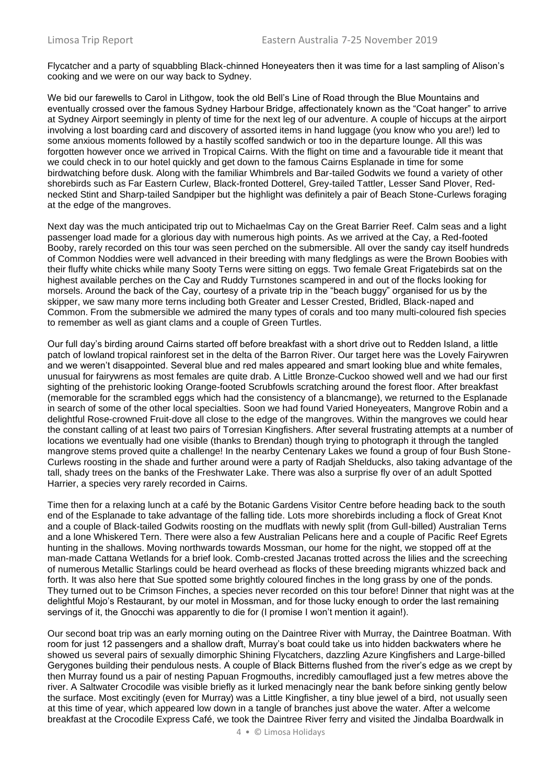Flycatcher and a party of squabbling Black-chinned Honeyeaters then it was time for a last sampling of Alison's cooking and we were on our way back to Sydney.

We bid our farewells to Carol in Lithgow, took the old Bell's Line of Road through the Blue Mountains and eventually crossed over the famous Sydney Harbour Bridge, affectionately known as the "Coat hanger" to arrive at Sydney Airport seemingly in plenty of time for the next leg of our adventure. A couple of hiccups at the airport involving a lost boarding card and discovery of assorted items in hand luggage (you know who you are!) led to some anxious moments followed by a hastily scoffed sandwich or too in the departure lounge. All this was forgotten however once we arrived in Tropical Cairns. With the flight on time and a favourable tide it meant that we could check in to our hotel quickly and get down to the famous Cairns Esplanade in time for some birdwatching before dusk. Along with the familiar Whimbrels and Bar-tailed Godwits we found a variety of other shorebirds such as Far Eastern Curlew, Black-fronted Dotterel, Grey-tailed Tattler, Lesser Sand Plover, Rednecked Stint and Sharp-tailed Sandpiper but the highlight was definitely a pair of Beach Stone-Curlews foraging at the edge of the mangroves.

Next day was the much anticipated trip out to Michaelmas Cay on the Great Barrier Reef. Calm seas and a light passenger load made for a glorious day with numerous high points. As we arrived at the Cay, a Red-footed Booby, rarely recorded on this tour was seen perched on the submersible. All over the sandy cay itself hundreds of Common Noddies were well advanced in their breeding with many fledglings as were the Brown Boobies with their fluffy white chicks while many Sooty Terns were sitting on eggs. Two female Great Frigatebirds sat on the highest available perches on the Cay and Ruddy Turnstones scampered in and out of the flocks looking for morsels. Around the back of the Cay, courtesy of a private trip in the "beach buggy" organised for us by the skipper, we saw many more terns including both Greater and Lesser Crested, Bridled, Black-naped and Common. From the submersible we admired the many types of corals and too many multi-coloured fish species to remember as well as giant clams and a couple of Green Turtles.

Our full day's birding around Cairns started off before breakfast with a short drive out to Redden Island, a little patch of lowland tropical rainforest set in the delta of the Barron River. Our target here was the Lovely Fairywren and we weren't disappointed. Several blue and red males appeared and smart looking blue and white females, unusual for fairywrens as most females are quite drab. A Little Bronze-Cuckoo showed well and we had our first sighting of the prehistoric looking Orange-footed Scrubfowls scratching around the forest floor. After breakfast (memorable for the scrambled eggs which had the consistency of a blancmange), we returned to the Esplanade in search of some of the other local specialties. Soon we had found Varied Honeyeaters, Mangrove Robin and a delightful Rose-crowned Fruit-dove all close to the edge of the mangroves. Within the mangroves we could hear the constant calling of at least two pairs of Torresian Kingfishers. After several frustrating attempts at a number of locations we eventually had one visible (thanks to Brendan) though trying to photograph it through the tangled mangrove stems proved quite a challenge! In the nearby Centenary Lakes we found a group of four Bush Stone-Curlews roosting in the shade and further around were a party of Radjah Shelducks, also taking advantage of the tall, shady trees on the banks of the Freshwater Lake. There was also a surprise fly over of an adult Spotted Harrier, a species very rarely recorded in Cairns.

Time then for a relaxing lunch at a café by the Botanic Gardens Visitor Centre before heading back to the south end of the Esplanade to take advantage of the falling tide. Lots more shorebirds including a flock of Great Knot and a couple of Black-tailed Godwits roosting on the mudflats with newly split (from Gull-billed) Australian Terns and a lone Whiskered Tern. There were also a few Australian Pelicans here and a couple of Pacific Reef Egrets hunting in the shallows. Moving northwards towards Mossman, our home for the night, we stopped off at the man-made Cattana Wetlands for a brief look. Comb-crested Jacanas trotted across the lilies and the screeching of numerous Metallic Starlings could be heard overhead as flocks of these breeding migrants whizzed back and forth. It was also here that Sue spotted some brightly coloured finches in the long grass by one of the ponds. They turned out to be Crimson Finches, a species never recorded on this tour before! Dinner that night was at the delightful Mojo's Restaurant, by our motel in Mossman, and for those lucky enough to order the last remaining servings of it, the Gnocchi was apparently to die for (I promise I won't mention it again!).

Our second boat trip was an early morning outing on the Daintree River with Murray, the Daintree Boatman. With room for just 12 passengers and a shallow draft, Murray's boat could take us into hidden backwaters where he showed us several pairs of sexually dimorphic Shining Flycatchers, dazzling Azure Kingfishers and Large-billed Gerygones building their pendulous nests. A couple of Black Bitterns flushed from the river's edge as we crept by then Murray found us a pair of nesting Papuan Frogmouths, incredibly camouflaged just a few metres above the river. A Saltwater Crocodile was visible briefly as it lurked menacingly near the bank before sinking gently below the surface. Most excitingly (even for Murray) was a Little Kingfisher, a tiny blue jewel of a bird, not usually seen at this time of year, which appeared low down in a tangle of branches just above the water. After a welcome breakfast at the Crocodile Express Café, we took the Daintree River ferry and visited the Jindalba Boardwalk in

4 • © Limosa Holidays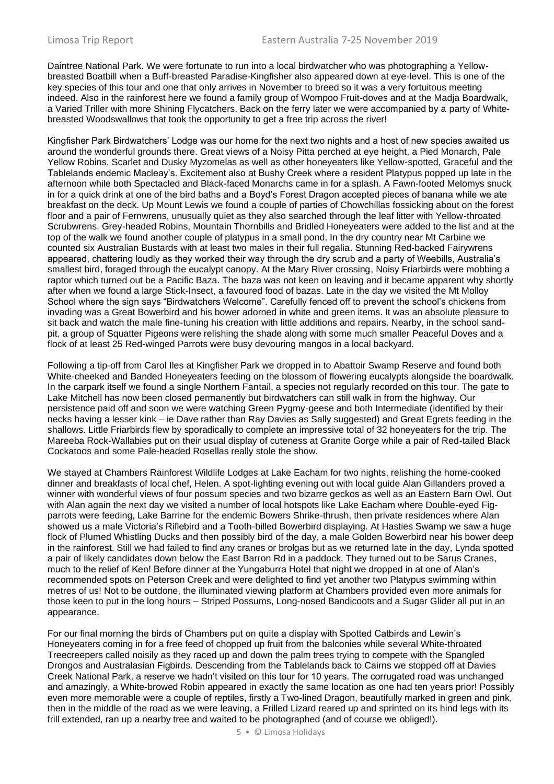Daintree National Park. We were fortunate to run into a local birdwatcher who was photographing a Yellowbreasted Boatbill when a Buff-breasted Paradise-Kingfisher also appeared down at eye-level. This is one of the key species of this tour and one that only arrives in November to breed so it was a very fortuitous meeting indeed. Also in the rainforest here we found a family group of Wompoo Fruit-doves and at the Madja Boardwalk, a Varied Triller with more Shining Flycatchers. Back on the ferry later we were accompanied by a party of Whitebreasted Woodswallows that took the opportunity to get a free trip across the river!

Kingfisher Park Birdwatchers' Lodge was our home for the next two nights and a host of new species awaited us around the wonderful grounds there. Great views of a Noisy Pitta perched at eye height, a Pied Monarch, Pale Yellow Robins, Scarlet and Dusky Myzomelas as well as other honeyeaters like Yellow-spotted, Graceful and the Tablelands endemic Macleay's. Excitement also at Bushy Creek where a resident Platypus popped up late in the afternoon while both Spectacled and Black-faced Monarchs came in for a splash. A Fawn-footed Melomys snuck in for a quick drink at one of the bird baths and a Boyd's Forest Dragon accepted pieces of banana while we ate breakfast on the deck. Up Mount Lewis we found a couple of parties of Chowchillas fossicking about on the forest floor and a pair of Fernwrens, unusually quiet as they also searched through the leaf litter with Yellow-throated Scrubwrens. Grey-headed Robins, Mountain Thornbills and Bridled Honeyeaters were added to the list and at the top of the walk we found another couple of platypus in a small pond. In the dry country near Mt Carbine we counted six Australian Bustards with at least two males in their full regalia. Stunning Red-backed Fairywrens appeared, chattering loudly as they worked their way through the dry scrub and a party of Weebills, Australia's smallest bird, foraged through the eucalypt canopy. At the Mary River crossing, Noisy Friarbirds were mobbing a raptor which turned out be a Pacific Baza. The baza was not keen on leaving and it became apparent why shortly after when we found a large Stick-Insect, a favoured food of bazas. Late in the day we visited the Mt Molloy School where the sign says "Birdwatchers Welcome". Carefully fenced off to prevent the school's chickens from invading was a Great Bowerbird and his bower adorned in white and green items. It was an absolute pleasure to sit back and watch the male fine-tuning his creation with little additions and repairs. Nearby, in the school sandpit, a group of Squatter Pigeons were relishing the shade along with some much smaller Peaceful Doves and a flock of at least 25 Red-winged Parrots were busy devouring mangos in a local backyard.

Following a tip-off from Carol Iles at Kingfisher Park we dropped in to Abattoir Swamp Reserve and found both White-cheeked and Banded Honeyeaters feeding on the blossom of flowering eucalypts alongside the boardwalk. In the carpark itself we found a single Northern Fantail, a species not regularly recorded on this tour. The gate to Lake Mitchell has now been closed permanently but birdwatchers can still walk in from the highway. Our persistence paid off and soon we were watching Green Pygmy-geese and both Intermediate (identified by their necks having a lesser kink – ie Dave rather than Ray Davies as Sally suggested) and Great Egrets feeding in the shallows. Little Friarbirds flew by sporadically to complete an impressive total of 32 honeyeaters for the trip. The Mareeba Rock-Wallabies put on their usual display of cuteness at Granite Gorge while a pair of Red-tailed Black Cockatoos and some Pale-headed Rosellas really stole the show.

We stayed at Chambers Rainforest Wildlife Lodges at Lake Eacham for two nights, relishing the home-cooked dinner and breakfasts of local chef, Helen. A spot-lighting evening out with local guide Alan Gillanders proved a winner with wonderful views of four possum species and two bizarre geckos as well as an Eastern Barn Owl. Out with Alan again the next day we visited a number of local hotspots like Lake Eacham where Double-eyed Figparrots were feeding, Lake Barrine for the endemic Bowers Shrike-thrush, then private residences where Alan showed us a male Victoria's Riflebird and a Tooth-billed Bowerbird displaying. At Hasties Swamp we saw a huge flock of Plumed Whistling Ducks and then possibly bird of the day, a male Golden Bowerbird near his bower deep in the rainforest. Still we had failed to find any cranes or brolgas but as we returned late in the day, Lynda spotted a pair of likely candidates down below the East Barron Rd in a paddock. They turned out to be Sarus Cranes, much to the relief of Ken! Before dinner at the Yungaburra Hotel that night we dropped in at one of Alan's recommended spots on Peterson Creek and were delighted to find yet another two Platypus swimming within metres of us! Not to be outdone, the illuminated viewing platform at Chambers provided even more animals for those keen to put in the long hours – Striped Possums, Long-nosed Bandicoots and a Sugar Glider all put in an appearance.

For our final morning the birds of Chambers put on quite a display with Spotted Catbirds and Lewin's Honeyeaters coming in for a free feed of chopped up fruit from the balconies while several White-throated Treecreepers called noisily as they raced up and down the palm trees trying to compete with the Spangled Drongos and Australasian Figbirds. Descending from the Tablelands back to Cairns we stopped off at Davies Creek National Park, a reserve we hadn't visited on this tour for 10 years. The corrugated road was unchanged and amazingly, a White-browed Robin appeared in exactly the same location as one had ten years prior! Possibly even more memorable were a couple of reptiles, firstly a Two-lined Dragon, beautifully marked in green and pink, then in the middle of the road as we were leaving, a Frilled Lizard reared up and sprinted on its hind legs with its frill extended, ran up a nearby tree and waited to be photographed (and of course we obliged!).

5 • © Limosa Holidays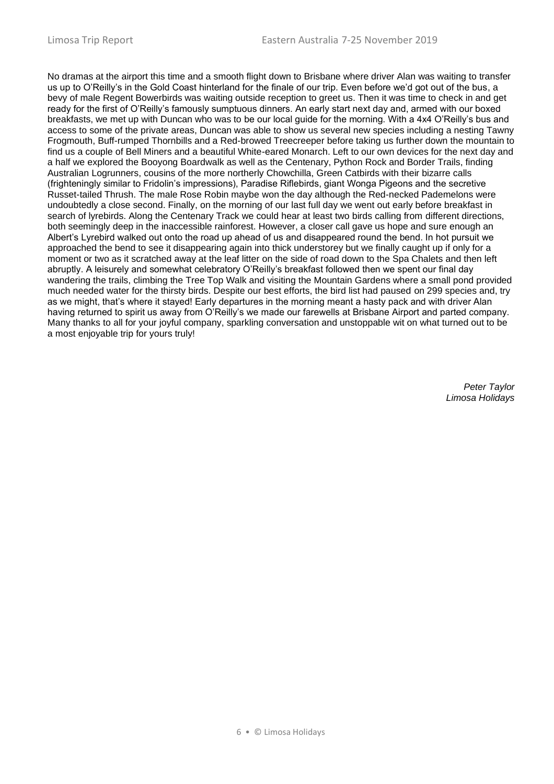No dramas at the airport this time and a smooth flight down to Brisbane where driver Alan was waiting to transfer us up to O'Reilly's in the Gold Coast hinterland for the finale of our trip. Even before we'd got out of the bus, a bevy of male Regent Bowerbirds was waiting outside reception to greet us. Then it was time to check in and get ready for the first of O'Reilly's famously sumptuous dinners. An early start next day and, armed with our boxed breakfasts, we met up with Duncan who was to be our local guide for the morning. With a 4x4 O'Reilly's bus and access to some of the private areas, Duncan was able to show us several new species including a nesting Tawny Frogmouth, Buff-rumped Thornbills and a Red-browed Treecreeper before taking us further down the mountain to find us a couple of Bell Miners and a beautiful White-eared Monarch. Left to our own devices for the next day and a half we explored the Booyong Boardwalk as well as the Centenary, Python Rock and Border Trails, finding Australian Logrunners, cousins of the more northerly Chowchilla, Green Catbirds with their bizarre calls (frighteningly similar to Fridolin's impressions), Paradise Riflebirds, giant Wonga Pigeons and the secretive Russet-tailed Thrush. The male Rose Robin maybe won the day although the Red-necked Pademelons were undoubtedly a close second. Finally, on the morning of our last full day we went out early before breakfast in search of lyrebirds. Along the Centenary Track we could hear at least two birds calling from different directions, both seemingly deep in the inaccessible rainforest. However, a closer call gave us hope and sure enough an Albert's Lyrebird walked out onto the road up ahead of us and disappeared round the bend. In hot pursuit we approached the bend to see it disappearing again into thick understorey but we finally caught up if only for a moment or two as it scratched away at the leaf litter on the side of road down to the Spa Chalets and then left abruptly. A leisurely and somewhat celebratory O'Reilly's breakfast followed then we spent our final day wandering the trails, climbing the Tree Top Walk and visiting the Mountain Gardens where a small pond provided much needed water for the thirsty birds. Despite our best efforts, the bird list had paused on 299 species and, try as we might, that's where it stayed! Early departures in the morning meant a hasty pack and with driver Alan having returned to spirit us away from O'Reilly's we made our farewells at Brisbane Airport and parted company. Many thanks to all for your joyful company, sparkling conversation and unstoppable wit on what turned out to be a most enjoyable trip for yours truly!

> *Peter Taylor Limosa Holidays*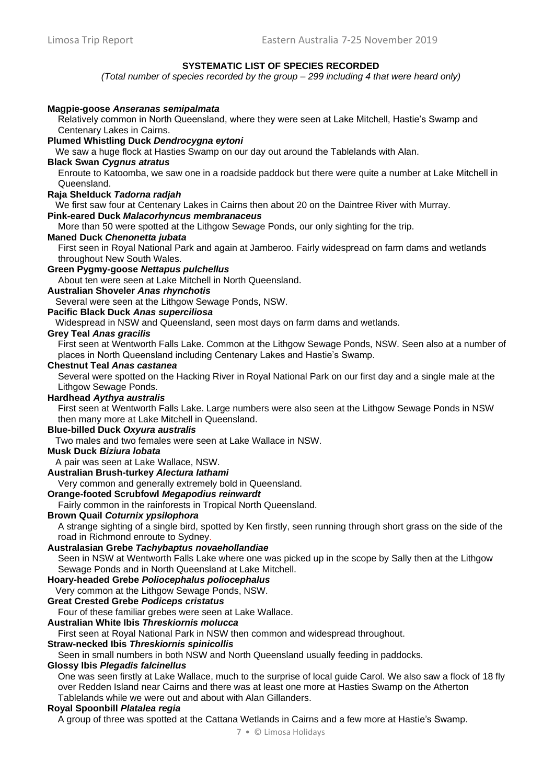### **SYSTEMATIC LIST OF SPECIES RECORDED**

*(Total number of species recorded by the group – 299 including 4 that were heard only)*

# **Magpie-goose** *Anseranas semipalmata*

Relatively common in North Queensland, where they were seen at Lake Mitchell, Hastie's Swamp and Centenary Lakes in Cairns.

#### **Plumed Whistling Duck** *Dendrocygna eytoni*

We saw a huge flock at Hasties Swamp on our day out around the Tablelands with Alan.

#### **Black Swan** *Cygnus atratus*

Enroute to Katoomba, we saw one in a roadside paddock but there were quite a number at Lake Mitchell in Queensland.

#### **Raja Shelduck** *Tadorna radjah*

We first saw four at Centenary Lakes in Cairns then about 20 on the Daintree River with Murray.

#### **Pink-eared Duck** *Malacorhyncus membranaceus*

More than 50 were spotted at the Lithgow Sewage Ponds, our only sighting for the trip.

#### **Maned Duck** *Chenonetta jubata*

First seen in Royal National Park and again at Jamberoo. Fairly widespread on farm dams and wetlands throughout New South Wales.

### **Green Pygmy-goose** *Nettapus pulchellus*

About ten were seen at Lake Mitchell in North Queensland.

# **Australian Shoveler** *Anas rhynchotis*

Several were seen at the Lithgow Sewage Ponds, NSW.

# **Pacific Black Duck** *Anas superciliosa*

Widespread in NSW and Queensland, seen most days on farm dams and wetlands.

#### **Grey Teal** *Anas gracilis*

First seen at Wentworth Falls Lake. Common at the Lithgow Sewage Ponds, NSW. Seen also at a number of places in North Queensland including Centenary Lakes and Hastie's Swamp.

#### **Chestnut Teal** *Anas castanea*

Several were spotted on the Hacking River in Royal National Park on our first day and a single male at the Lithgow Sewage Ponds.

### **Hardhead** *Aythya australis*

First seen at Wentworth Falls Lake. Large numbers were also seen at the Lithgow Sewage Ponds in NSW then many more at Lake Mitchell in Queensland.

# **Blue-billed Duck** *Oxyura australis*

Two males and two females were seen at Lake Wallace in NSW.

# **Musk Duck** *Biziura lobata*

A pair was seen at Lake Wallace, NSW.

# **Australian Brush-turkey** *Alectura lathami*

Very common and generally extremely bold in Queensland.

### **Orange-footed Scrubfowl** *Megapodius reinwardt*

Fairly common in the rainforests in Tropical North Queensland.

# **Brown Quail** *Coturnix ypsilophora*

A strange sighting of a single bird, spotted by Ken firstly, seen running through short grass on the side of the road in Richmond enroute to Sydney.

#### **Australasian Grebe** *Tachybaptus novaehollandiae*

Seen in NSW at Wentworth Falls Lake where one was picked up in the scope by Sally then at the Lithgow Sewage Ponds and in North Queensland at Lake Mitchell.

# **Hoary-headed Grebe** *Poliocephalus poliocephalus*

Very common at the Lithgow Sewage Ponds, NSW.

### **Great Crested Grebe** *Podiceps cristatus*

Four of these familiar grebes were seen at Lake Wallace.

#### **Australian White Ibis** *Threskiornis molucca*

First seen at Royal National Park in NSW then common and widespread throughout.

### **Straw-necked Ibis** *Threskiornis spinicollis*

Seen in small numbers in both NSW and North Queensland usually feeding in paddocks.

#### **Glossy Ibis** *Plegadis falcinellus*

One was seen firstly at Lake Wallace, much to the surprise of local guide Carol. We also saw a flock of 18 fly over Redden Island near Cairns and there was at least one more at Hasties Swamp on the Atherton Tablelands while we were out and about with Alan Gillanders.

#### **Royal Spoonbill** *Platalea regia*

A group of three was spotted at the Cattana Wetlands in Cairns and a few more at Hastie's Swamp.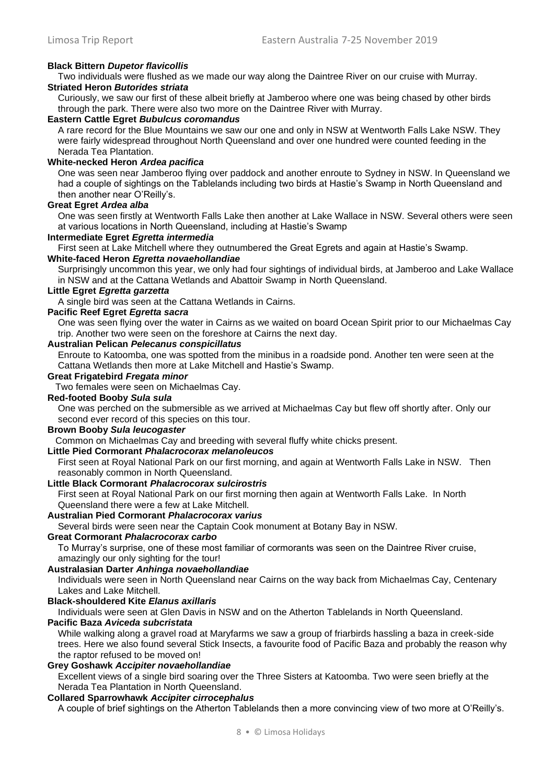# **Black Bittern** *Dupetor flavicollis*

Two individuals were flushed as we made our way along the Daintree River on our cruise with Murray.

# **Striated Heron** *Butorides striata*

Curiously, we saw our first of these albeit briefly at Jamberoo where one was being chased by other birds through the park. There were also two more on the Daintree River with Murray.

### **Eastern Cattle Egret** *Bubulcus coromandus*

A rare record for the Blue Mountains we saw our one and only in NSW at Wentworth Falls Lake NSW. They were fairly widespread throughout North Queensland and over one hundred were counted feeding in the Nerada Tea Plantation.

### **White-necked Heron** *Ardea pacifica*

One was seen near Jamberoo flying over paddock and another enroute to Sydney in NSW. In Queensland we had a couple of sightings on the Tablelands including two birds at Hastie's Swamp in North Queensland and then another near O'Reilly's.

### **Great Egret** *Ardea alba*

One was seen firstly at Wentworth Falls Lake then another at Lake Wallace in NSW. Several others were seen at various locations in North Queensland, including at Hastie's Swamp

#### **Intermediate Egret** *Egretta intermedia*

First seen at Lake Mitchell where they outnumbered the Great Egrets and again at Hastie's Swamp.

# **White-faced Heron** *Egretta novaehollandiae*

Surprisingly uncommon this year, we only had four sightings of individual birds, at Jamberoo and Lake Wallace in NSW and at the Cattana Wetlands and Abattoir Swamp in North Queensland.

#### **Little Egret** *Egretta garzetta*

A single bird was seen at the Cattana Wetlands in Cairns.

#### **Pacific Reef Egret** *Egretta sacra*

One was seen flying over the water in Cairns as we waited on board Ocean Spirit prior to our Michaelmas Cay trip. Another two were seen on the foreshore at Cairns the next day.

### **Australian Pelican** *Pelecanus conspicillatus*

Enroute to Katoomba, one was spotted from the minibus in a roadside pond. Another ten were seen at the Cattana Wetlands then more at Lake Mitchell and Hastie's Swamp.

#### **Great Frigatebird** *Fregata minor*

Two females were seen on Michaelmas Cay.

# **Red-footed Booby** *Sula sula*

One was perched on the submersible as we arrived at Michaelmas Cay but flew off shortly after. Only our second ever record of this species on this tour.

#### **Brown Booby** *Sula leucogaster*

Common on Michaelmas Cay and breeding with several fluffy white chicks present.

# **Little Pied Cormorant** *Phalacrocorax melanoleucos*

First seen at Royal National Park on our first morning, and again at Wentworth Falls Lake in NSW. Then reasonably common in North Queensland.

# **Little Black Cormorant** *Phalacrocorax sulcirostris*

First seen at Royal National Park on our first morning then again at Wentworth Falls Lake. In North Queensland there were a few at Lake Mitchell.

# **Australian Pied Cormorant** *Phalacrocorax varius*

Several birds were seen near the Captain Cook monument at Botany Bay in NSW.

# **Great Cormorant** *Phalacrocorax carbo*

To Murray's surprise, one of these most familiar of cormorants was seen on the Daintree River cruise, amazingly our only sighting for the tour!

#### **Australasian Darter** *Anhinga novaehollandiae*

Individuals were seen in North Queensland near Cairns on the way back from Michaelmas Cay, Centenary Lakes and Lake Mitchell.

#### **Black-shouldered Kite** *Elanus axillaris*

Individuals were seen at Glen Davis in NSW and on the Atherton Tablelands in North Queensland.

# **Pacific Baza** *Aviceda subcristata*

While walking along a gravel road at Maryfarms we saw a group of friarbirds hassling a baza in creek-side trees. Here we also found several Stick Insects, a favourite food of Pacific Baza and probably the reason why the raptor refused to be moved on!

#### **Grey Goshawk** *Accipiter novaehollandiae*

Excellent views of a single bird soaring over the Three Sisters at Katoomba. Two were seen briefly at the Nerada Tea Plantation in North Queensland.

#### **Collared Sparrowhawk** *Accipiter cirrocephalus*

A couple of brief sightings on the Atherton Tablelands then a more convincing view of two more at O'Reilly's.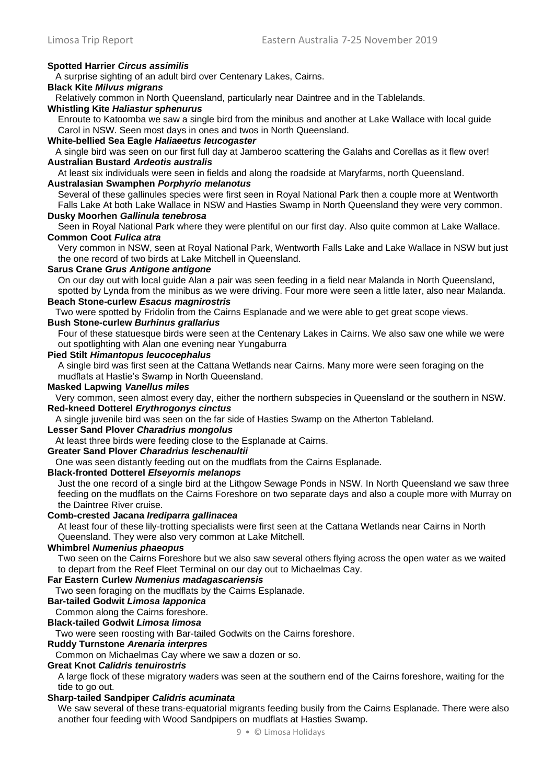# **Spotted Harrier** *Circus assimilis*

A surprise sighting of an adult bird over Centenary Lakes, Cairns.

# **Black Kite** *Milvus migrans*

Relatively common in North Queensland, particularly near Daintree and in the Tablelands.

### **Whistling Kite** *Haliastur sphenurus*

Enroute to Katoomba we saw a single bird from the minibus and another at Lake Wallace with local guide Carol in NSW. Seen most days in ones and twos in North Queensland.

### **White-bellied Sea Eagle** *Haliaeetus leucogaster*

A single bird was seen on our first full day at Jamberoo scattering the Galahs and Corellas as it flew over! **Australian Bustard** *Ardeotis australis* 

At least six individuals were seen in fields and along the roadside at Maryfarms, north Queensland.

#### **Australasian Swamphen** *Porphyrio melanotus*

Several of these gallinules species were first seen in Royal National Park then a couple more at Wentworth Falls Lake At both Lake Wallace in NSW and Hasties Swamp in North Queensland they were very common.

# **Dusky Moorhen** *Gallinula tenebrosa*

Seen in Royal National Park where they were plentiful on our first day. Also quite common at Lake Wallace. **Common Coot** *Fulica atra* 

Very common in NSW, seen at Royal National Park, Wentworth Falls Lake and Lake Wallace in NSW but just the one record of two birds at Lake Mitchell in Queensland.

#### **Sarus Crane** *Grus Antigone antigone*

On our day out with local guide Alan a pair was seen feeding in a field near Malanda in North Queensland, spotted by Lynda from the minibus as we were driving. Four more were seen a little later, also near Malanda.

# **Beach Stone-curlew** *Esacus magnirostris*

Two were spotted by Fridolin from the Cairns Esplanade and we were able to get great scope views.

# **Bush Stone-curlew** *Burhinus grallarius*

Four of these statuesque birds were seen at the Centenary Lakes in Cairns. We also saw one while we were out spotlighting with Alan one evening near Yungaburra

#### **Pied Stilt** *Himantopus leucocephalus*

A single bird was first seen at the Cattana Wetlands near Cairns. Many more were seen foraging on the mudflats at Hastie's Swamp in North Queensland.

# **Masked Lapwing** *Vanellus miles*

Very common, seen almost every day, either the northern subspecies in Queensland or the southern in NSW. **Red-kneed Dotterel** *Erythrogonys cinctus*

A single juvenile bird was seen on the far side of Hasties Swamp on the Atherton Tableland.

### **Lesser Sand Plover** *Charadrius mongolus*

At least three birds were feeding close to the Esplanade at Cairns.

### **Greater Sand Plover** *Charadrius leschenaultii*

One was seen distantly feeding out on the mudflats from the Cairns Esplanade.

# **Black-fronted Dotterel** *Elseyornis melanops*

Just the one record of a single bird at the Lithgow Sewage Ponds in NSW. In North Queensland we saw three feeding on the mudflats on the Cairns Foreshore on two separate days and also a couple more with Murray on the Daintree River cruise.

#### **Comb-crested Jacana** *Irediparra gallinacea*

At least four of these lily-trotting specialists were first seen at the Cattana Wetlands near Cairns in North Queensland. They were also very common at Lake Mitchell.

#### **Whimbrel** *Numenius phaeopus*

Two seen on the Cairns Foreshore but we also saw several others flying across the open water as we waited to depart from the Reef Fleet Terminal on our day out to Michaelmas Cay.

# **Far Eastern Curlew** *Numenius madagascariensis*

Two seen foraging on the mudflats by the Cairns Esplanade.

### **Bar-tailed Godwit** *Limosa lapponica*

Common along the Cairns foreshore.

# **Black-tailed Godwit** *Limosa limosa*

Two were seen roosting with Bar-tailed Godwits on the Cairns foreshore.

### **Ruddy Turnstone** *Arenaria interpres*

Common on Michaelmas Cay where we saw a dozen or so.

#### **Great Knot** *Calidris tenuirostris*

A large flock of these migratory waders was seen at the southern end of the Cairns foreshore, waiting for the tide to go out.

# **Sharp-tailed Sandpiper** *Calidris acuminata*

We saw several of these trans-equatorial migrants feeding busily from the Cairns Esplanade. There were also another four feeding with Wood Sandpipers on mudflats at Hasties Swamp.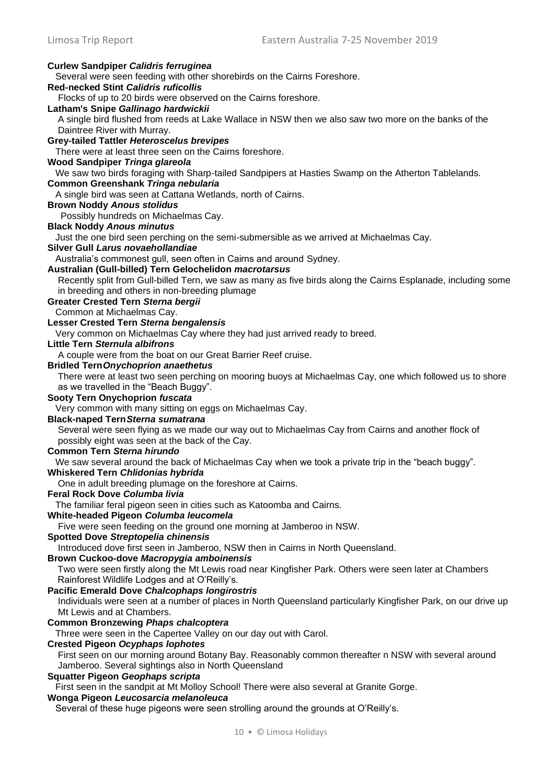| <b>Curlew Sandpiper Calidris ferruginea</b>                                                                   |
|---------------------------------------------------------------------------------------------------------------|
| Several were seen feeding with other shorebirds on the Cairns Foreshore.                                      |
| <b>Red-necked Stint Calidris ruficollis</b>                                                                   |
| Flocks of up to 20 birds were observed on the Cairns foreshore.                                               |
| Latham's Snipe Gallinago hardwickii                                                                           |
| A single bird flushed from reeds at Lake Wallace in NSW then we also saw two more on the banks of the         |
| Daintree River with Murray.                                                                                   |
| <b>Grey-tailed Tattler Heteroscelus brevipes</b>                                                              |
| There were at least three seen on the Cairns foreshore.                                                       |
| Wood Sandpiper Tringa glareola                                                                                |
| We saw two birds foraging with Sharp-tailed Sandpipers at Hasties Swamp on the Atherton Tablelands.           |
| Common Greenshank Tringa nebularia                                                                            |
| A single bird was seen at Cattana Wetlands, north of Cairns.                                                  |
| <b>Brown Noddy Anous stolidus</b>                                                                             |
| Possibly hundreds on Michaelmas Cay.                                                                          |
| <b>Black Noddy Anous minutus</b>                                                                              |
| Just the one bird seen perching on the semi-submersible as we arrived at Michaelmas Cay.                      |
| Silver Gull Larus novaehollandiae                                                                             |
| Australia's commonest gull, seen often in Cairns and around Sydney.                                           |
| Australian (Gull-billed) Tern Gelochelidon macrotarsus                                                        |
| Recently split from Gull-billed Tern, we saw as many as five birds along the Cairns Esplanade, including some |
| in breeding and others in non-breeding plumage                                                                |
| <b>Greater Crested Tern Sterna bergii</b>                                                                     |
| Common at Michaelmas Cay.                                                                                     |
| Lesser Crested Tern Sterna bengalensis                                                                        |
| Very common on Michaelmas Cay where they had just arrived ready to breed.                                     |
| <b>Little Tern Sternula albifrons</b>                                                                         |
| A couple were from the boat on our Great Barrier Reef cruise.                                                 |
| <b>Bridled Tern Onychoprion anaethetus</b>                                                                    |
| There were at least two seen perching on mooring buoys at Michaelmas Cay, one which followed us to shore      |
| as we travelled in the "Beach Buggy".                                                                         |
| Sooty Tern Onychoprion fuscata                                                                                |
| Very common with many sitting on eggs on Michaelmas Cay.                                                      |
| <b>Black-naped Tern Sterna sumatrana</b>                                                                      |
| Several were seen flying as we made our way out to Michaelmas Cay from Cairns and another flock of            |
| possibly eight was seen at the back of the Cay.                                                               |
| <b>Common Tern Sterna hirundo</b>                                                                             |
| We saw several around the back of Michaelmas Cay when we took a private trip in the "beach buggy".            |
| Whiskered Tern Chlidonias hybrida                                                                             |
| One in adult breeding plumage on the foreshore at Cairns.<br>Feral Rock Dove Columba livia                    |
|                                                                                                               |
| The familiar feral pigeon seen in cities such as Katoomba and Cairns.                                         |
| White-headed Pigeon Columba leucomela<br>Five were seen feeding on the ground one morning at Jamberoo in NSW. |
| <b>Spotted Dove Streptopelia chinensis</b>                                                                    |
| Introduced dove first seen in Jamberoo, NSW then in Cairns in North Queensland.                               |
| Brown Cuckoo-dove Macropygia amboinensis                                                                      |
| Two were seen firstly along the Mt Lewis road near Kingfisher Park. Others were seen later at Chambers        |
| Rainforest Wildlife Lodges and at O'Reilly's.                                                                 |
| <b>Pacific Emerald Dove Chalcophaps longirostris</b>                                                          |
| Individuals were seen at a number of places in North Queensland particularly Kingfisher Park, on our drive up |
| Mt Lewis and at Chambers.                                                                                     |
| <b>Common Bronzewing Phaps chalcoptera</b>                                                                    |
| Three were seen in the Capertee Valley on our day out with Carol.                                             |
| <b>Crested Pigeon Ocyphaps lophotes</b>                                                                       |
| First seen on our morning around Botany Bay. Reasonably common thereafter n NSW with several around           |
| Jamberoo. Several sightings also in North Queensland                                                          |
| <b>Squatter Pigeon Geophaps scripta</b>                                                                       |
| First seen in the sandpit at Mt Molloy School! There were also several at Granite Gorge.                      |
| Wonga Pigeon Leucosarcia melanoleuca                                                                          |
|                                                                                                               |

Several of these huge pigeons were seen strolling around the grounds at O'Reilly's.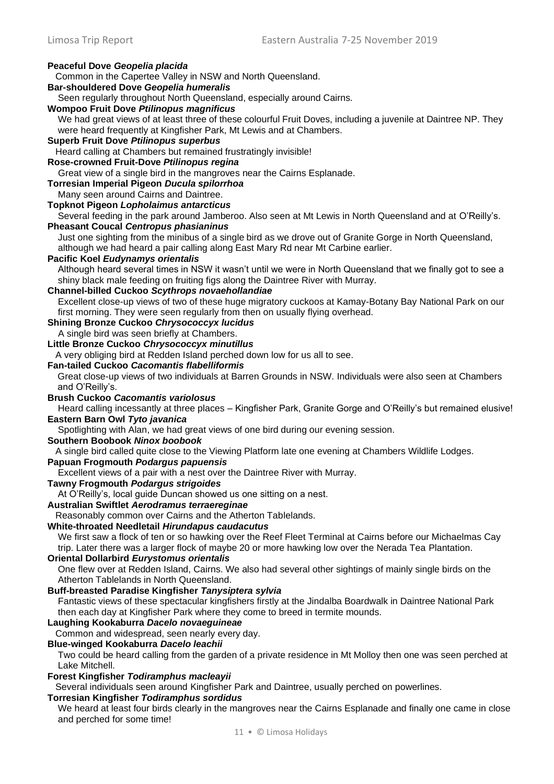### Limosa Trip Report Eastern Australia 7-25 November 2019 **Peaceful Dove** *Geopelia placida*  Common in the Capertee Valley in NSW and North Queensland. **Bar-shouldered Dove** *Geopelia humeralis*  Seen regularly throughout North Queensland, especially around Cairns. **Wompoo Fruit Dove** *Ptilinopus magnificus*  We had great views of at least three of these colourful Fruit Doves, including a juvenile at Daintree NP. They were heard frequently at Kingfisher Park, Mt Lewis and at Chambers. **Superb Fruit Dove** *Ptilinopus superbus* Heard calling at Chambers but remained frustratingly invisible! **Rose-crowned Fruit-Dove** *Ptilinopus regina* Great view of a single bird in the mangroves near the Cairns Esplanade. **Torresian Imperial Pigeon** *Ducula spilorrhoa*  Many seen around Cairns and Daintree. **Topknot Pigeon** *Lopholaimus antarcticus*  Several feeding in the park around Jamberoo. Also seen at Mt Lewis in North Queensland and at O'Reilly's. **Pheasant Coucal** *Centropus phasianinus*  Just one sighting from the minibus of a single bird as we drove out of Granite Gorge in North Queensland, although we had heard a pair calling along East Mary Rd near Mt Carbine earlier. **Pacific Koel** *Eudynamys orientalis* Although heard several times in NSW it wasn't until we were in North Queensland that we finally got to see a shiny black male feeding on fruiting figs along the Daintree River with Murray. **Channel-billed Cuckoo** *Scythrops novaehollandiae* Excellent close-up views of two of these huge migratory cuckoos at Kamay-Botany Bay National Park on our first morning. They were seen regularly from then on usually flying overhead. **Shining Bronze Cuckoo** *Chrysococcyx lucidus*  A single bird was seen briefly at Chambers. **Little Bronze Cuckoo** *Chrysococcyx minutillus* A very obliging bird at Redden Island perched down low for us all to see. **Fan-tailed Cuckoo** *Cacomantis flabelliformis*  Great close-up views of two individuals at Barren Grounds in NSW. Individuals were also seen at Chambers and O'Reilly's. **Brush Cuckoo** *Cacomantis variolosus* Heard calling incessantly at three places – Kingfisher Park, Granite Gorge and O'Reilly's but remained elusive! **Eastern Barn Owl** *Tyto javanica* Spotlighting with Alan, we had great views of one bird during our evening session. **Southern Boobook** *Ninox boobook* A single bird called quite close to the Viewing Platform late one evening at Chambers Wildlife Lodges. **Papuan Frogmouth** *Podargus papuensis*  Excellent views of a pair with a nest over the Daintree River with Murray. **Tawny Frogmouth** *Podargus strigoides*  At O'Reilly's, local guide Duncan showed us one sitting on a nest. **Australian Swiftlet** *Aerodramus terraereginae*  Reasonably common over Cairns and the Atherton Tablelands. **White-throated Needletail** *Hirundapus caudacutus* We first saw a flock of ten or so hawking over the Reef Fleet Terminal at Cairns before our Michaelmas Cay trip. Later there was a larger flock of maybe 20 or more hawking low over the Nerada Tea Plantation. **Oriental Dollarbird** *Eurystomus orientalis*  One flew over at Redden Island, Cairns. We also had several other sightings of mainly single birds on the Atherton Tablelands in North Queensland. **Buff-breasted Paradise Kingfisher** *Tanysiptera sylvia* Fantastic views of these spectacular kingfishers firstly at the Jindalba Boardwalk in Daintree National Park then each day at Kingfisher Park where they come to breed in termite mounds. **Laughing Kookaburra** *Dacelo novaeguineae*  Common and widespread, seen nearly every day. **Blue-winged Kookaburra** *Dacelo leachii* Two could be heard calling from the garden of a private residence in Mt Molloy then one was seen perched at Lake Mitchell.

**Forest Kingfisher** *Todiramphus macleayii* 

Several individuals seen around Kingfisher Park and Daintree, usually perched on powerlines.

#### **Torresian Kingfisher** *Todiramphus sordidus*

We heard at least four birds clearly in the mangroves near the Cairns Esplanade and finally one came in close and perched for some time!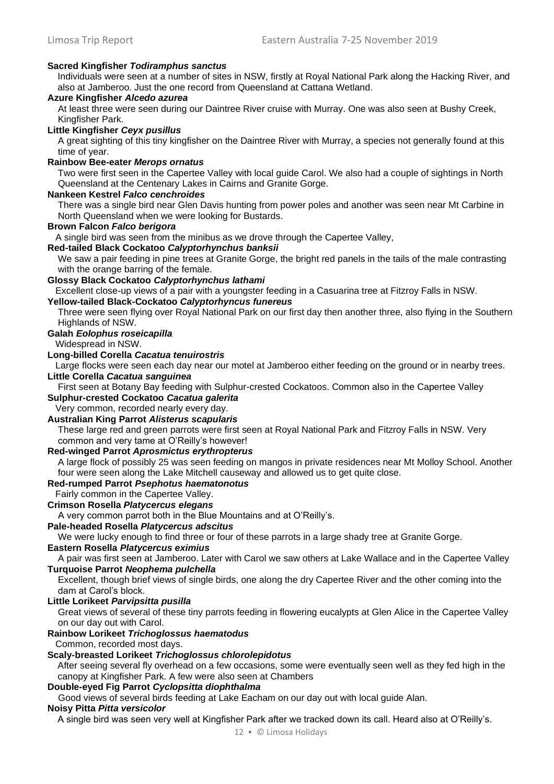# **Sacred Kingfisher** *Todiramphus sanctus*

Individuals were seen at a number of sites in NSW, firstly at Royal National Park along the Hacking River, and also at Jamberoo. Just the one record from Queensland at Cattana Wetland.

# **Azure Kingfisher** *Alcedo azurea*

At least three were seen during our Daintree River cruise with Murray. One was also seen at Bushy Creek, Kingfisher Park.

# **Little Kingfisher** *Ceyx pusillus*

A great sighting of this tiny kingfisher on the Daintree River with Murray, a species not generally found at this time of year.

#### **Rainbow Bee-eater** *Merops ornatus*

Two were first seen in the Capertee Valley with local guide Carol. We also had a couple of sightings in North Queensland at the Centenary Lakes in Cairns and Granite Gorge.

#### **Nankeen Kestrel** *Falco cenchroides*

There was a single bird near Glen Davis hunting from power poles and another was seen near Mt Carbine in North Queensland when we were looking for Bustards.

#### **Brown Falcon** *Falco berigora*

A single bird was seen from the minibus as we drove through the Capertee Valley,

# **Red-tailed Black Cockatoo** *Calyptorhynchus banksii*

We saw a pair feeding in pine trees at Granite Gorge, the bright red panels in the tails of the male contrasting with the orange barring of the female.

# **Glossy Black Cockatoo** *Calyptorhynchus lathami*

Excellent close-up views of a pair with a youngster feeding in a Casuarina tree at Fitzroy Falls in NSW.

# **Yellow-tailed Black-Cockatoo** *Calyptorhyncus funereus*

Three were seen flying over Royal National Park on our first day then another three, also flying in the Southern Highlands of NSW.

# **Galah** *Eolophus roseicapilla*

Widespread in NSW.

# **Long-billed Corella** *Cacatua tenuirostris*

Large flocks were seen each day near our motel at Jamberoo either feeding on the ground or in nearby trees. **Little Corella** *Cacatua sanguinea* 

First seen at Botany Bay feeding with Sulphur-crested Cockatoos. Common also in the Capertee Valley **Sulphur-crested Cockatoo** *Cacatua galerita* 

Very common, recorded nearly every day.

# **Australian King Parrot** *Alisterus scapularis*

These large red and green parrots were first seen at Royal National Park and Fitzroy Falls in NSW. Very common and very tame at O'Reilly's however!

#### **Red-winged Parrot** *Aprosmictus erythropterus*

A large flock of possibly 25 was seen feeding on mangos in private residences near Mt Molloy School. Another four were seen along the Lake Mitchell causeway and allowed us to get quite close.

#### **Red-rumped Parrot** *Psephotus haematonotus*

Fairly common in the Capertee Valley.

# **Crimson Rosella** *Platycercus elegans*

A very common parrot both in the Blue Mountains and at O'Reilly's.

# **Pale-headed Rosella** *Platycercus adscitus*

We were lucky enough to find three or four of these parrots in a large shady tree at Granite Gorge.

# **Eastern Rosella** *Platycercus eximius*

A pair was first seen at Jamberoo. Later with Carol we saw others at Lake Wallace and in the Capertee Valley **Turquoise Parrot** *Neophema pulchella*

Excellent, though brief views of single birds, one along the dry Capertee River and the other coming into the dam at Carol's block.

# **Little Lorikeet** *Parvipsitta pusilla*

Great views of several of these tiny parrots feeding in flowering eucalypts at Glen Alice in the Capertee Valley on our day out with Carol.

# **Rainbow Lorikeet** *Trichoglossus haematodus*

Common, recorded most days.

# **Scaly-breasted Lorikeet** *Trichoglossus chlorolepidotus*

After seeing several fly overhead on a few occasions, some were eventually seen well as they fed high in the canopy at Kingfisher Park. A few were also seen at Chambers

# **Double-eyed Fig Parrot** *Cyclopsitta diophthalma*

Good views of several birds feeding at Lake Eacham on our day out with local guide Alan.

# **Noisy Pitta** *Pitta versicolor*

A single bird was seen very well at Kingfisher Park after we tracked down its call. Heard also at O'Reilly's.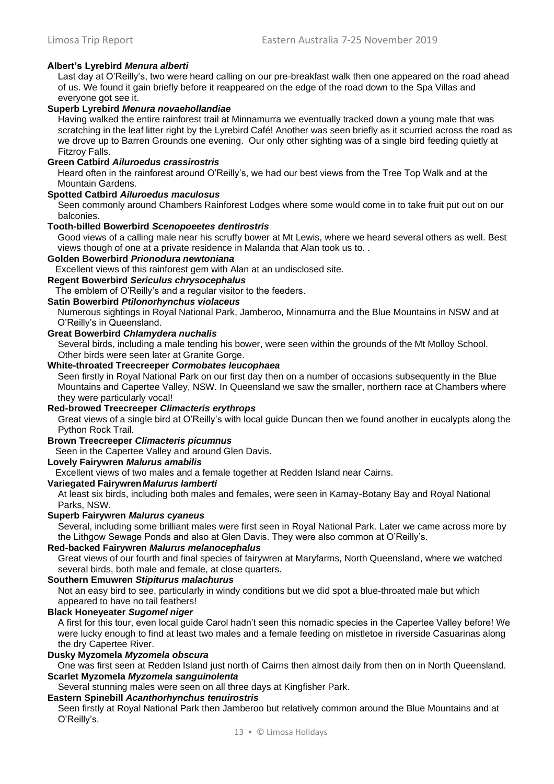# **Albert's Lyrebird** *Menura alberti*

Last day at O'Reilly's, two were heard calling on our pre-breakfast walk then one appeared on the road ahead of us. We found it gain briefly before it reappeared on the edge of the road down to the Spa Villas and everyone got see it.

#### **Superb Lyrebird** *Menura novaehollandiae*

Having walked the entire rainforest trail at Minnamurra we eventually tracked down a young male that was scratching in the leaf litter right by the Lyrebird Café! Another was seen briefly as it scurried across the road as we drove up to Barren Grounds one evening. Our only other sighting was of a single bird feeding quietly at Fitzroy Falls.

#### **Green Catbird** *Ailuroedus crassirostris*

Heard often in the rainforest around O'Reilly's, we had our best views from the Tree Top Walk and at the Mountain Gardens.

#### **Spotted Catbird** *Ailuroedus maculosus*

Seen commonly around Chambers Rainforest Lodges where some would come in to take fruit put out on our balconies.

#### **Tooth-billed Bowerbird** *Scenopoeetes dentirostris*

Good views of a calling male near his scruffy bower at Mt Lewis, where we heard several others as well. Best views though of one at a private residence in Malanda that Alan took us to. .

#### **Golden Bowerbird** *Prionodura newtoniana*

Excellent views of this rainforest gem with Alan at an undisclosed site.

# **Regent Bowerbird** *Sericulus chrysocephalus*

The emblem of O'Reilly's and a regular visitor to the feeders.

# **Satin Bowerbird** *Ptilonorhynchus violaceus*

Numerous sightings in Royal National Park, Jamberoo, Minnamurra and the Blue Mountains in NSW and at O'Reilly's in Queensland.

# **Great Bowerbird** *Chlamydera nuchalis*

Several birds, including a male tending his bower, were seen within the grounds of the Mt Molloy School. Other birds were seen later at Granite Gorge.

#### **White-throated Treecreeper** *Cormobates leucophaea*

Seen firstly in Royal National Park on our first day then on a number of occasions subsequently in the Blue Mountains and Capertee Valley, NSW. In Queensland we saw the smaller, northern race at Chambers where they were particularly vocal!

#### **Red-browed Treecreeper** *Climacteris erythrops*

Great views of a single bird at O'Reilly's with local guide Duncan then we found another in eucalypts along the Python Rock Trail.

# **Brown Treecreeper** *Climacteris picumnus*

Seen in the Capertee Valley and around Glen Davis.

#### **Lovely Fairywren** *Malurus amabilis*

Excellent views of two males and a female together at Redden Island near Cairns.

# **Variegated Fairywren***Malurus lamberti*

At least six birds, including both males and females, were seen in Kamay-Botany Bay and Royal National Parks, NSW.

# **Superb Fairywren** *Malurus cyaneus*

Several, including some brilliant males were first seen in Royal National Park. Later we came across more by the Lithgow Sewage Ponds and also at Glen Davis. They were also common at O'Reilly's.

#### **Red-backed Fairywren** *Malurus melanocephalus*

Great views of our fourth and final species of fairywren at Maryfarms, North Queensland, where we watched several birds, both male and female, at close quarters.

# **Southern Emuwren** *Stipiturus malachurus*

Not an easy bird to see, particularly in windy conditions but we did spot a blue-throated male but which appeared to have no tail feathers!

#### **Black Honeyeater** *Sugomel niger*

A first for this tour, even local guide Carol hadn't seen this nomadic species in the Capertee Valley before! We were lucky enough to find at least two males and a female feeding on mistletoe in riverside Casuarinas along the dry Capertee River.

#### **Dusky Myzomela** *Myzomela obscura*

One was first seen at Redden Island just north of Cairns then almost daily from then on in North Queensland. **Scarlet Myzomela** *Myzomela sanguinolenta*

Several stunning males were seen on all three days at Kingfisher Park.

#### **Eastern Spinebill** *Acanthorhynchus tenuirostris*

Seen firstly at Royal National Park then Jamberoo but relatively common around the Blue Mountains and at O'Reilly's.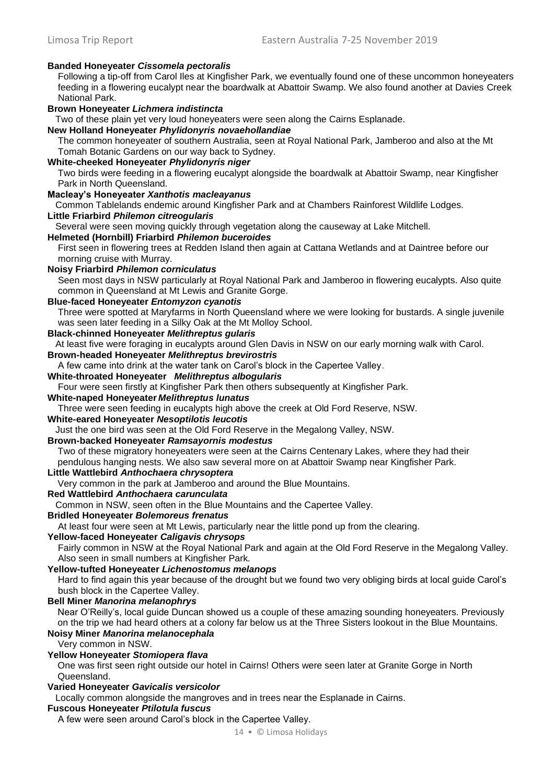# **Banded Honeyeater** *Cissomela pectoralis*

Following a tip-off from Carol Iles at Kingfisher Park, we eventually found one of these uncommon honeyeaters feeding in a flowering eucalypt near the boardwalk at Abattoir Swamp. We also found another at Davies Creek National Park.

### **Brown Honeyeater** *Lichmera indistincta*

Two of these plain yet very loud honeyeaters were seen along the Cairns Esplanade.

#### **New Holland Honeyeater** *Phylidonyris novaehollandiae*

The common honeyeater of southern Australia, seen at Royal National Park, Jamberoo and also at the Mt Tomah Botanic Gardens on our way back to Sydney.

# **White-cheeked Honeyeater** *Phylidonyris niger*

Two birds were feeding in a flowering eucalypt alongside the boardwalk at Abattoir Swamp, near Kingfisher Park in North Queensland.

# **Macleay's Honeyeater** *Xanthotis macleayanus*

Common Tablelands endemic around Kingfisher Park and at Chambers Rainforest Wildlife Lodges.

#### **Little Friarbird** *Philemon citreogularis*

Several were seen moving quickly through vegetation along the causeway at Lake Mitchell.

#### **Helmeted (Hornbill) Friarbird** *Philemon buceroides*

First seen in flowering trees at Redden Island then again at Cattana Wetlands and at Daintree before our morning cruise with Murray.

### **Noisy Friarbird** *Philemon corniculatus*

Seen most days in NSW particularly at Royal National Park and Jamberoo in flowering eucalypts. Also quite common in Queensland at Mt Lewis and Granite Gorge.

# **Blue-faced Honeyeater** *Entomyzon cyanotis*

Three were spotted at Maryfarms in North Queensland where we were looking for bustards. A single juvenile was seen later feeding in a Silky Oak at the Mt Molloy School.

# **Black-chinned Honeyeater** *Melithreptus gularis*

At least five were foraging in eucalypts around Glen Davis in NSW on our early morning walk with Carol.

# **Brown-headed Honeyeater** *Melithreptus brevirostris*

A few came into drink at the water tank on Carol's block in the Capertee Valley.

### **White-throated Honeyeater** *Melithreptus albogularis*

Four were seen firstly at Kingfisher Park then others subsequently at Kingfisher Park.

# **White-naped Honeyeater** *Melithreptus lunatus*

Three were seen feeding in eucalypts high above the creek at Old Ford Reserve, NSW.

# **White-eared Honeyeater** *Nesoptilotis leucotis*

Just the one bird was seen at the Old Ford Reserve in the Megalong Valley, NSW.

#### **Brown-backed Honeyeater** *Ramsayornis modestus*

Two of these migratory honeyeaters were seen at the Cairns Centenary Lakes, where they had their pendulous hanging nests. We also saw several more on at Abattoir Swamp near Kingfisher Park.

### **Little Wattlebird** *Anthochaera chrysoptera*

Very common in the park at Jamberoo and around the Blue Mountains.

### **Red Wattlebird** *Anthochaera carunculata*

Common in NSW, seen often in the Blue Mountains and the Capertee Valley.

# **Bridled Honeyeater** *Bolemoreus frenatus*

At least four were seen at Mt Lewis, particularly near the little pond up from the clearing.

# **Yellow-faced Honeyeater** *Caligavis chrysops*

Fairly common in NSW at the Royal National Park and again at the Old Ford Reserve in the Megalong Valley. Also seen in small numbers at Kingfisher Park.

### **Yellow-tufted Honeyeater** *Lichenostomus melanops*

Hard to find again this year because of the drought but we found two very obliging birds at local guide Carol's bush block in the Capertee Valley.

### **Bell Miner** *Manorina melanophrys*

Near O'Reilly's, local guide Duncan showed us a couple of these amazing sounding honeyeaters. Previously on the trip we had heard others at a colony far below us at the Three Sisters lookout in the Blue Mountains.

# **Noisy Miner** *Manorina melanocephala*

Very common in NSW.

#### **Yellow Honeyeater** *Stomiopera flava*

One was first seen right outside our hotel in Cairns! Others were seen later at Granite Gorge in North Queensland.

# **Varied Honeyeater** *Gavicalis versicolor*

Locally common alongside the mangroves and in trees near the Esplanade in Cairns.

# **Fuscous Honeyeater** *Ptilotula fuscus*

A few were seen around Carol's block in the Capertee Valley.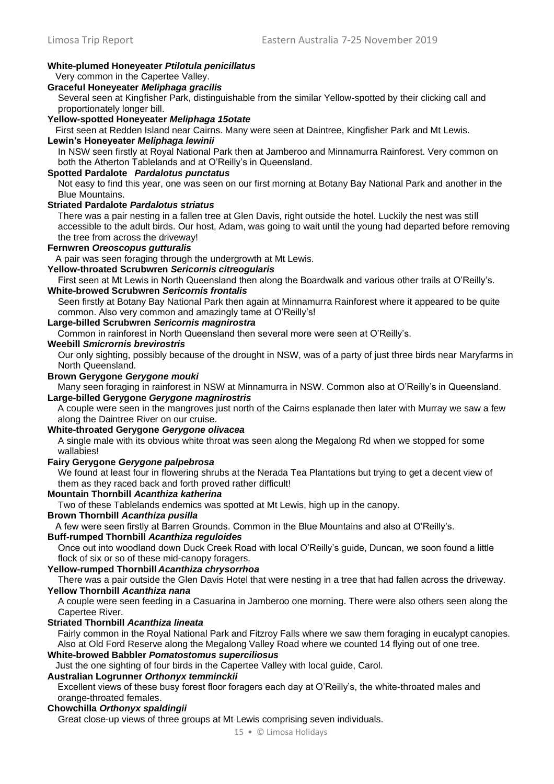# **White-plumed Honeyeater** *Ptilotula penicillatus*

# Very common in the Capertee Valley.

# **Graceful Honeyeater** *Meliphaga gracilis*

Several seen at Kingfisher Park, distinguishable from the similar Yellow-spotted by their clicking call and proportionately longer bill.

**Yellow-spotted Honeyeater** *Meliphaga 15otate*

First seen at Redden Island near Cairns. Many were seen at Daintree, Kingfisher Park and Mt Lewis.

# **Lewin's Honeyeater** *Meliphaga lewinii*

In NSW seen firstly at Royal National Park then at Jamberoo and Minnamurra Rainforest. Very common on both the Atherton Tablelands and at O'Reilly's in Queensland.

# **Spotted Pardalote** *Pardalotus punctatus*

Not easy to find this year, one was seen on our first morning at Botany Bay National Park and another in the Blue Mountains.

# **Striated Pardalote** *Pardalotus striatus*

There was a pair nesting in a fallen tree at Glen Davis, right outside the hotel. Luckily the nest was still accessible to the adult birds. Our host, Adam, was going to wait until the young had departed before removing the tree from across the driveway!

#### **Fernwren** *Oreoscopus gutturalis*

A pair was seen foraging through the undergrowth at Mt Lewis.

# **Yellow-throated Scrubwren** *Sericornis citreogularis*

First seen at Mt Lewis in North Queensland then along the Boardwalk and various other trails at O'Reilly's. **White-browed Scrubwren** *Sericornis frontalis* 

Seen firstly at Botany Bay National Park then again at Minnamurra Rainforest where it appeared to be quite common. Also very common and amazingly tame at O'Reilly's!

# **Large-billed Scrubwren** *Sericornis magnirostra*

Common in rainforest in North Queensland then several more were seen at O'Reilly's.

# **Weebill** *Smicrornis brevirostris*

Our only sighting, possibly because of the drought in NSW, was of a party of just three birds near Maryfarms in North Queensland.

#### **Brown Gerygone** *Gerygone mouki*

Many seen foraging in rainforest in NSW at Minnamurra in NSW. Common also at O'Reilly's in Queensland. **Large-billed Gerygone** *Gerygone magnirostris* 

A couple were seen in the mangroves just north of the Cairns esplanade then later with Murray we saw a few along the Daintree River on our cruise.

# **White-throated Gerygone** *Gerygone olivacea*

A single male with its obvious white throat was seen along the Megalong Rd when we stopped for some wallabies!

#### **Fairy Gerygone** *Gerygone palpebrosa*

We found at least four in flowering shrubs at the Nerada Tea Plantations but trying to get a decent view of them as they raced back and forth proved rather difficult!

### **Mountain Thornbill** *Acanthiza katherina*

Two of these Tablelands endemics was spotted at Mt Lewis, high up in the canopy.

# **Brown Thornbill** *Acanthiza pusilla*

A few were seen firstly at Barren Grounds. Common in the Blue Mountains and also at O'Reilly's.

# **Buff-rumped Thornbill** *Acanthiza reguloides*

Once out into woodland down Duck Creek Road with local O'Reilly's guide, Duncan, we soon found a little flock of six or so of these mid-canopy foragers.

# **Yellow-rumped Thornbill** *Acanthiza chrysorrhoa*

There was a pair outside the Glen Davis Hotel that were nesting in a tree that had fallen across the driveway. **Yellow Thornbill** *Acanthiza nana* 

A couple were seen feeding in a Casuarina in Jamberoo one morning. There were also others seen along the Capertee River.

#### **Striated Thornbill** *Acanthiza lineata*

Fairly common in the Royal National Park and Fitzroy Falls where we saw them foraging in eucalypt canopies. Also at Old Ford Reserve along the Megalong Valley Road where we counted 14 flying out of one tree.

# **White-browed Babbler** *Pomatostomus superciliosus*

Just the one sighting of four birds in the Capertee Valley with local guide, Carol.

### **Australian Logrunner** *Orthonyx temminckii*

Excellent views of these busy forest floor foragers each day at O'Reilly's, the white-throated males and orange-throated females.

### **Chowchilla** *Orthonyx spaldingii*

Great close-up views of three groups at Mt Lewis comprising seven individuals.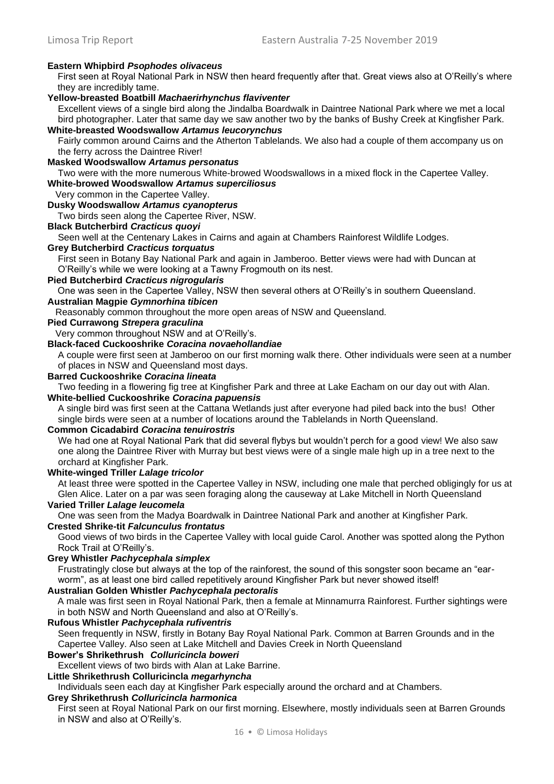# **Eastern Whipbird** *Psophodes olivaceus*

First seen at Royal National Park in NSW then heard frequently after that. Great views also at O'Reilly's where they are incredibly tame.

# **Yellow-breasted Boatbill** *Machaerirhynchus flaviventer*

Excellent views of a single bird along the Jindalba Boardwalk in Daintree National Park where we met a local bird photographer. Later that same day we saw another two by the banks of Bushy Creek at Kingfisher Park. **White-breasted Woodswallow** *Artamus leucorynchus* 

Fairly common around Cairns and the Atherton Tablelands. We also had a couple of them accompany us on the ferry across the Daintree River!

#### **Masked Woodswallow** *Artamus personatus*

Two were with the more numerous White-browed Woodswallows in a mixed flock in the Capertee Valley. **White-browed Woodswallow** *Artamus superciliosus*

Very common in the Capertee Valley.

### **Dusky Woodswallow** *Artamus cyanopterus*

Two birds seen along the Capertee River, NSW.

#### **Black Butcherbird** *Cracticus quoyi*

Seen well at the Centenary Lakes in Cairns and again at Chambers Rainforest Wildlife Lodges.

#### **Grey Butcherbird** *Cracticus torquatus*

First seen in Botany Bay National Park and again in Jamberoo. Better views were had with Duncan at O'Reilly's while we were looking at a Tawny Frogmouth on its nest.

#### **Pied Butcherbird** *Cracticus nigrogularis*

One was seen in the Capertee Valley, NSW then several others at O'Reilly's in southern Queensland.

# **Australian Magpie** *Gymnorhina tibicen*

Reasonably common throughout the more open areas of NSW and Queensland.

# **Pied Currawong** *Strepera graculina*

Very common throughout NSW and at O'Reilly's.

### **Black-faced Cuckooshrike** *Coracina novaehollandiae*

A couple were first seen at Jamberoo on our first morning walk there. Other individuals were seen at a number of places in NSW and Queensland most days.

#### **Barred Cuckooshrike** *Coracina lineata*

Two feeding in a flowering fig tree at Kingfisher Park and three at Lake Eacham on our day out with Alan. **White-bellied Cuckooshrike** *Coracina papuensis* 

A single bird was first seen at the Cattana Wetlands just after everyone had piled back into the bus! Other single birds were seen at a number of locations around the Tablelands in North Queensland.

#### **Common Cicadabird** *Coracina tenuirostris*

We had one at Royal National Park that did several flybys but wouldn't perch for a good view! We also saw one along the Daintree River with Murray but best views were of a single male high up in a tree next to the orchard at Kingfisher Park.

### **White-winged Triller** *Lalage tricolor*

At least three were spotted in the Capertee Valley in NSW, including one male that perched obligingly for us at Glen Alice. Later on a par was seen foraging along the causeway at Lake Mitchell in North Queensland

# **Varied Triller** *Lalage leucomela*

One was seen from the Madya Boardwalk in Daintree National Park and another at Kingfisher Park.

### **Crested Shrike-tit** *Falcunculus frontatus*

Good views of two birds in the Capertee Valley with local guide Carol. Another was spotted along the Python Rock Trail at O'Reilly's.

#### **Grey Whistler** *Pachycephala simplex*

Frustratingly close but always at the top of the rainforest, the sound of this songster soon became an "earworm", as at least one bird called repetitively around Kingfisher Park but never showed itself!

#### **Australian Golden Whistler** *Pachycephala pectoralis*

A male was first seen in Royal National Park, then a female at Minnamurra Rainforest. Further sightings were in both NSW and North Queensland and also at O'Reilly's.

#### **Rufous Whistler** *Pachycephala rufiventris*

Seen frequently in NSW, firstly in Botany Bay Royal National Park. Common at Barren Grounds and in the Capertee Valley. Also seen at Lake Mitchell and Davies Creek in North Queensland

#### **Bower's Shrikethrush** *Colluricincla boweri*

Excellent views of two birds with Alan at Lake Barrine.

**Little Shrikethrush Colluricincla** *megarhyncha* 

Individuals seen each day at Kingfisher Park especially around the orchard and at Chambers.

# **Grey Shrikethrush** *Colluricincla harmonica*

First seen at Royal National Park on our first morning. Elsewhere, mostly individuals seen at Barren Grounds in NSW and also at O'Reilly's.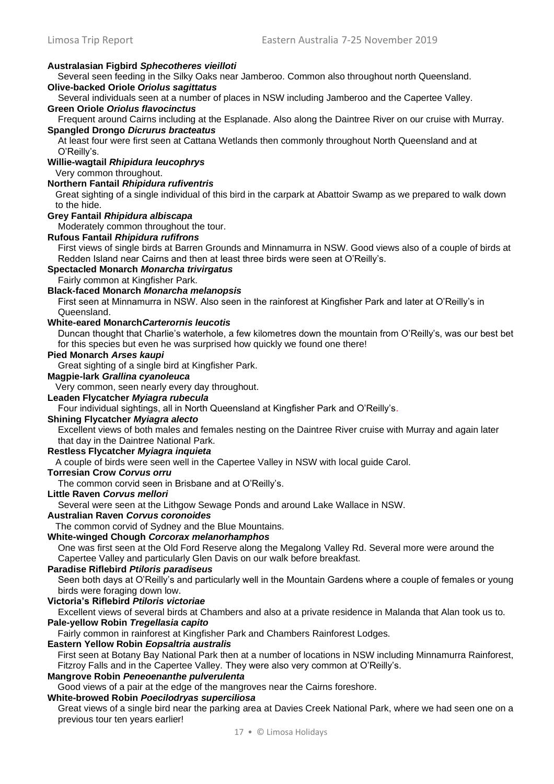# **Australasian Figbird** *Sphecotheres vieilloti*

Several seen feeding in the Silky Oaks near Jamberoo. Common also throughout north Queensland.

# **Olive-backed Oriole** *Oriolus sagittatus*

Several individuals seen at a number of places in NSW including Jamberoo and the Capertee Valley.

# **Green Oriole** *Oriolus flavocinctus*

Frequent around Cairns including at the Esplanade. Also along the Daintree River on our cruise with Murray. **Spangled Drongo** *Dicrurus bracteatus* 

At least four were first seen at Cattana Wetlands then commonly throughout North Queensland and at O'Reilly's.

# **Willie-wagtail** *Rhipidura leucophrys*

Very common throughout.

### **Northern Fantail** *Rhipidura rufiventris*

Great sighting of a single individual of this bird in the carpark at Abattoir Swamp as we prepared to walk down to the hide.

#### **Grey Fantail** *Rhipidura albiscapa*

Moderately common throughout the tour.

#### **Rufous Fantail** *Rhipidura rufifrons*

First views of single birds at Barren Grounds and Minnamurra in NSW. Good views also of a couple of birds at Redden Island near Cairns and then at least three birds were seen at O'Reilly's.

# **Spectacled Monarch** *Monarcha trivirgatus*

Fairly common at Kingfisher Park.

# **Black-faced Monarch** *Monarcha melanopsis*

First seen at Minnamurra in NSW. Also seen in the rainforest at Kingfisher Park and later at O'Reilly's in Queensland.

# **White-eared Monarch***Carterornis leucotis*

Duncan thought that Charlie's waterhole, a few kilometres down the mountain from O'Reilly's, was our best bet for this species but even he was surprised how quickly we found one there!

# **Pied Monarch** *Arses kaupi*

Great sighting of a single bird at Kingfisher Park.

# **Magpie-lark** *Grallina cyanoleuca*

Very common, seen nearly every day throughout.

# **Leaden Flycatcher** *Myiagra rubecula*

Four individual sightings, all in North Queensland at Kingfisher Park and O'Reilly's.

# **Shining Flycatcher** *Myiagra alecto*

Excellent views of both males and females nesting on the Daintree River cruise with Murray and again later that day in the Daintree National Park.

#### **Restless Flycatcher** *Myiagra inquieta*

A couple of birds were seen well in the Capertee Valley in NSW with local guide Carol.

# **Torresian Crow** *Corvus orru*

The common corvid seen in Brisbane and at O'Reilly's.

# **Little Raven** *Corvus mellori*

Several were seen at the Lithgow Sewage Ponds and around Lake Wallace in NSW.

# **Australian Raven** *Corvus coronoides*

The common corvid of Sydney and the Blue Mountains.

# **White-winged Chough** *Corcorax melanorhamphos*

One was first seen at the Old Ford Reserve along the Megalong Valley Rd. Several more were around the Capertee Valley and particularly Glen Davis on our walk before breakfast.

### **Paradise Riflebird** *Ptiloris paradiseus*

Seen both days at O'Reilly's and particularly well in the Mountain Gardens where a couple of females or young birds were foraging down low.

#### **Victoria's Riflebird** *Ptiloris victoriae*

Excellent views of several birds at Chambers and also at a private residence in Malanda that Alan took us to. **Pale-yellow Robin** *Tregellasia capito* 

Fairly common in rainforest at Kingfisher Park and Chambers Rainforest Lodges.

### **Eastern Yellow Robin** *Eopsaltria australis*

First seen at Botany Bay National Park then at a number of locations in NSW including Minnamurra Rainforest, Fitzroy Falls and in the Capertee Valley. They were also very common at O'Reilly's.

# **Mangrove Robin** *Peneoenanthe pulverulenta*

Good views of a pair at the edge of the mangroves near the Cairns foreshore.

# **White-browed Robin** *Poecilodryas superciliosa*

Great views of a single bird near the parking area at Davies Creek National Park, where we had seen one on a previous tour ten years earlier!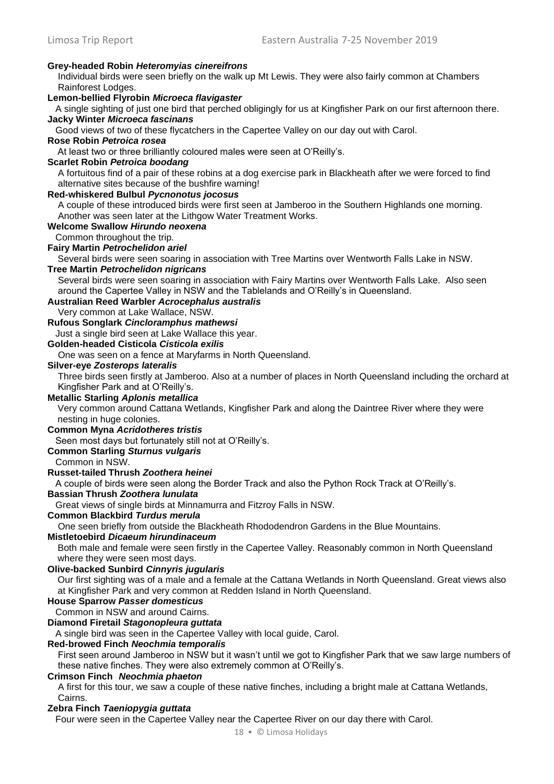#### **Grey-headed Robin** *Heteromyias cinereifrons*

Individual birds were seen briefly on the walk up Mt Lewis. They were also fairly common at Chambers Rainforest Lodges.

# **Lemon-bellied Flyrobin** *Microeca flavigaster*

A single sighting of just one bird that perched obligingly for us at Kingfisher Park on our first afternoon there. **Jacky Winter** *Microeca fascinans* 

Good views of two of these flycatchers in the Capertee Valley on our day out with Carol.

# **Rose Robin** *Petroica rosea*

At least two or three brilliantly coloured males were seen at O'Reilly's.

#### **Scarlet Robin** *Petroica boodang*

A fortuitous find of a pair of these robins at a dog exercise park in Blackheath after we were forced to find alternative sites because of the bushfire warning!

#### **Red-whiskered Bulbul** *Pycnonotus jocosus*

A couple of these introduced birds were first seen at Jamberoo in the Southern Highlands one morning. Another was seen later at the Lithgow Water Treatment Works.

#### **Welcome Swallow** *Hirundo neoxena*

Common throughout the trip.

### **Fairy Martin** *Petrochelidon ariel*

Several birds were seen soaring in association with Tree Martins over Wentworth Falls Lake in NSW.

# **Tree Martin** *Petrochelidon nigricans*

Several birds were seen soaring in association with Fairy Martins over Wentworth Falls Lake. Also seen around the Capertee Valley in NSW and the Tablelands and O'Reilly's in Queensland.

# **Australian Reed Warbler** *Acrocephalus australis*

Very common at Lake Wallace, NSW.

# **Rufous Songlark** *Cincloramphus mathewsi*

Just a single bird seen at Lake Wallace this year.

# **Golden-headed Cisticola** *Cisticola exilis*

One was seen on a fence at Maryfarms in North Queensland.

#### **Silver-eye** *Zosterops lateralis*

Three birds seen firstly at Jamberoo. Also at a number of places in North Queensland including the orchard at Kingfisher Park and at O'Reilly's.

### **Metallic Starling** *Aplonis metallica*

Very common around Cattana Wetlands, Kingfisher Park and along the Daintree River where they were nesting in huge colonies.

#### **Common Myna** *Acridotheres tristis*

Seen most days but fortunately still not at O'Reilly's.

#### **Common Starling** *Sturnus vulgaris*

Common in NSW.

#### **Russet-tailed Thrush** *Zoothera heinei*

A couple of birds were seen along the Border Track and also the Python Rock Track at O'Reilly's.

#### **Bassian Thrush** *Zoothera lunulata*

Great views of single birds at Minnamurra and Fitzroy Falls in NSW.

# **Common Blackbird** *Turdus merula*

One seen briefly from outside the Blackheath Rhododendron Gardens in the Blue Mountains.

# **Mistletoebird** *Dicaeum hirundinaceum*

Both male and female were seen firstly in the Capertee Valley. Reasonably common in North Queensland where they were seen most days.

#### **Olive-backed Sunbird** *Cinnyris jugularis*

Our first sighting was of a male and a female at the Cattana Wetlands in North Queensland. Great views also at Kingfisher Park and very common at Redden Island in North Queensland.

#### **House Sparrow** *Passer domesticus*

Common in NSW and around Cairns.

# **Diamond Firetail** *Stagonopleura guttata*

A single bird was seen in the Capertee Valley with local guide, Carol.

# **Red-browed Finch** *Neochmia temporalis*

First seen around Jamberoo in NSW but it wasn't until we got to Kingfisher Park that we saw large numbers of these native finches. They were also extremely common at O'Reilly's.

### **Crimson Finch** *Neochmia phaeton*

A first for this tour, we saw a couple of these native finches, including a bright male at Cattana Wetlands, Cairns.

#### **Zebra Finch** *Taeniopygia guttata*

Four were seen in the Capertee Valley near the Capertee River on our day there with Carol.